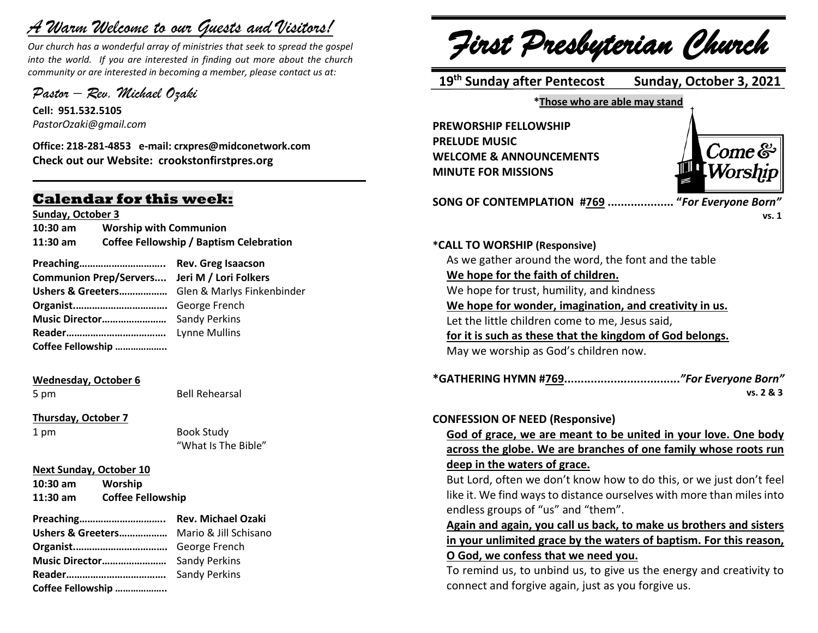# *A Warm Welcome to our Guests and Visitors!*

*Our church has a wonderful array of ministries that seek to spread the gospel into the world. If you are interested in finding out more about the church community or are interested in becoming a member, please contact us at:*

**\_\_\_\_\_\_\_\_\_\_\_\_\_\_\_\_\_\_\_\_\_\_\_\_\_\_\_\_\_\_\_\_\_\_\_\_\_\_\_\_\_\_\_\_\_\_\_\_\_\_\_\_\_\_**

*Pastor – Rev. Michael Ozaki* 

**Cell: 951.532.5105** *PastorOzaki@gmail.com*

**Office: 218-281-4853 e-mail: crxpres@midconetwork.com Check out our Website: crookstonfirstpres.org**

# **Calendar for this week:**

**Sunday, October 3**

**10:30 am Worship with Communion 11:30 am Coffee Fellowship / Baptism Celebration**

| Communion Prep/Servers Jeri M / Lori Folkers |  |
|----------------------------------------------|--|
|                                              |  |
|                                              |  |
|                                              |  |
|                                              |  |
| Coffee Fellowship                            |  |

## **Wednesday, October 6**

5 pm Bell Rehearsal

**Thursday, October 7**

1 pm Book Study "What Is The Bible"

**Next Sunday, October 10**

**10:30 am Worship 11:30 am Coffee Fellowship**

| <b>Ushers &amp; Greeters</b> Mario & Jill Schisano |                      |
|----------------------------------------------------|----------------------|
|                                                    |                      |
|                                                    |                      |
|                                                    | <b>Sandy Perkins</b> |
| Coffee Fellowship                                  |                      |

*First Presbyterian Church*

 **19 th Sunday after Pentecost Sunday, October 3, 2021**

**\*Those who are able may stand**

**PREWORSHIP FELLOWSHIP PRELUDE MUSIC WELCOME & ANNOUNCEMENTS MINUTE FOR MISSIONS** 



**SONG OF CONTEMPLATION #769 .................... "***For Everyone Born"* 

 **vs. 1**

**\*CALL TO WORSHIP (Responsive)** As we gather around the word, the font and the table **We hope for the faith of children.** We hope for trust, humility, and kindness **We hope for wonder, imagination, and creativity in us.** Let the little children come to me, Jesus said, **for it is such as these that the kingdom of God belongs.** May we worship as God's children now. **\*GATHERING HYMN #769...................................***"For Everyone Born"*  **vs. 2 & 3 CONFESSION OF NEED (Responsive) God of grace, we are meant to be united in your love. One body across the globe. We are branches of one family whose roots run deep in the waters of grace.** But Lord, often we don't know how to do this, or we just don't feel like it. We find ways to distance ourselves with more than miles into endless groups of "us" and "them". **Again and again, you call us back, to make us brothers and sisters in your unlimited grace by the waters of baptism. For this reason, O God, we confess that we need you.** To remind us, to unbind us, to give us the energy and creativity to connect and forgive again, just as you forgive us.